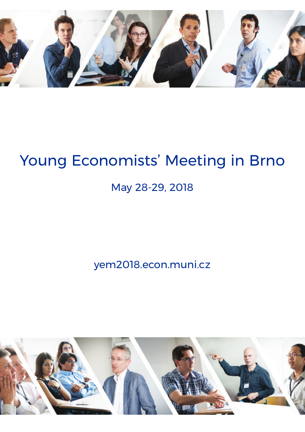

# Young Economists' Meeting in Brno

# May 28-29, 2018

yem2018.econ.muni.cz

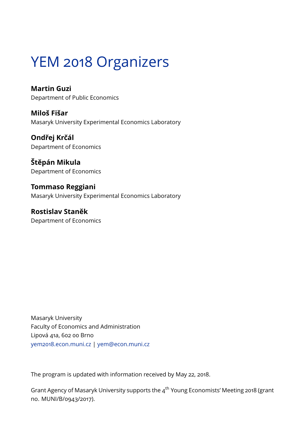# YEM 2018 Organizers

**Martin Guzi** Department of Public Economics

**Miloš Fišar** Masaryk University Experimental Economics Laboratory

**Ondřej Krčál** Department of Economics

**Štěpán Mikula** Department of Economics

**Tommaso Reggiani** Masaryk University Experimental Economics Laboratory

**Rostislav Staněk** Department of Economics

Masaryk University Faculty of Economics and Administration Lipová 41a, 602 00 Brno <yem2018.econ.muni.cz> | <yem@econ.muni.cz>

The program is updated with information received by May 22, 2018.

Grant Agency of Masaryk University supports the 4<sup>th</sup> Young Economists' Meeting 2018 (grant no. MUNI/B/0943/2017).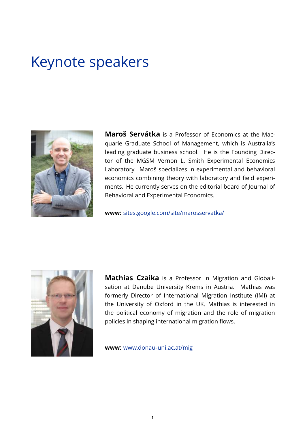# Keynote speakers



**Maroš Servátka** is a Professor of Economics at the Macquarie Graduate School of Management, which is Australia's leading graduate business school. He is the Founding Director of the MGSM Vernon L. Smith Experimental Economics Laboratory. Maroš specializes in experimental and behavioral economics combining theory with laboratory and field experiments. He currently serves on the editorial board of Journal of Behavioral and Experimental Economics.

**www:** <sites.google.com/site/marosservatka/>



**Mathias Czaika** is a Professor in Migration and Globalisation at Danube University Krems in Austria. Mathias was formerly Director of International Migration Institute (IMI) at the University of Oxford in the UK. Mathias is interested in the political economy of migration and the role of migration policies in shaping international migration flows.

**www:** [www.donau-uni.ac.at/mig](www.donau-uni.ac.at/mig )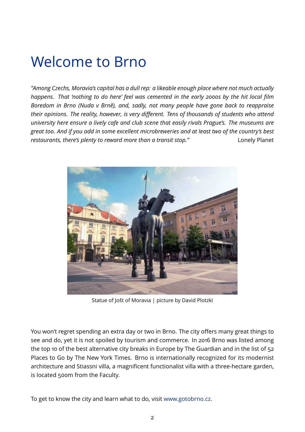# Welcome to Brno

*"Among Czechs, Moravia's capital has a dull rep: a likeable enough place where not much actually happens. That 'nothing to do here' feel was cemented in the early 2000s by the hit local film Boredom in Brno (Nuda v Brně), and, sadly, not many people have gone back to reappraise their opinions. The reality, however, is very different. Tens of thousands of students who attend university here ensure a lively cafe and club scene that easily rivals Prague's. The museums are great too. And if you add in some excellent microbreweries and at least two of the country's best restaurants, there's plenty to reward more than a transit stop."* Lonely Planet



Statue of Jošt of Moravia | picture by David Plotzki

You won't regret spending an extra day or two in Brno. The city offers many great things to see and do, yet it is not spoiled by tourism and commerce. In 2016 Brno was listed among the top 10 of the best alternative city breaks in Europe by The Guardian and in the list of 52 Places to Go by The New York Times. Brno is internationally recognized for its modernist architecture and Stiassni villa, a magnificent functionalist villa with a three-hectare garden, is located 500m from the Faculty.

To get to know the city and learn what to do, visit [www.gotobrno.cz.](www.gotobrno.cz)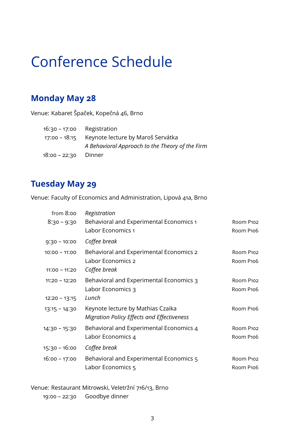# Conference Schedule

## **Monday May 28**

Venue: Kabaret Špaček, Kopečná 46, Brno

| 16:30 - 17:00 | Registration                                    |
|---------------|-------------------------------------------------|
| 17:00 - 18:15 | Keynote lecture by Maroš Servátka               |
|               | A Behavioral Approach to the Theory of the Firm |
| 18:00 - 22:30 | Dinner                                          |

## **Tuesday May 29**

Venue: Faculty of Economics and Administration, Lipová 41a, Brno

| from 8:00       | Registration                                   |           |
|-----------------|------------------------------------------------|-----------|
| $8:30 - 9:30$   | <b>Behavioral and Experimental Economics 1</b> | Room P102 |
|                 | Labor Economics 1                              | Room P106 |
| $9:30 - 10:00$  | Coffee break                                   |           |
| $10:00 - 11:00$ | Behavioral and Experimental Economics 2        | Room P102 |
|                 | Labor Economics 2                              | Room P106 |
| $11:00 - 11:20$ | Coffee break                                   |           |
| $11:20 - 12:20$ | Behavioral and Experimental Economics 3        | Room P102 |
|                 | Labor Economics 3                              | Room P106 |
| $12:20 - 13:15$ | Lunch                                          |           |
| $13:15 - 14:30$ | Keynote lecture by Mathias Czaika              | Room P106 |
|                 | Migration Policy Effects and Effectiveness     |           |
| $14:30 - 15:30$ | Behavioral and Experimental Economics 4        | Room P102 |
|                 | Labor Economics 4                              | Room P106 |
| $15:30 - 16:00$ | Coffee break                                   |           |
| $16:00 - 17:00$ | Behavioral and Experimental Economics 5        | Room P102 |
|                 | Labor Economics 5                              | Room P106 |
|                 |                                                |           |

Venue: Restaurant Mitrowski, Veletržní 716/13, Brno

19:00 – 22:30 Goodbye dinner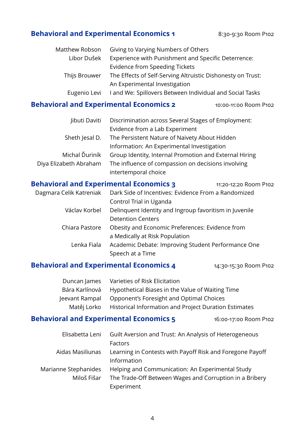## **Behavioral and Experimental Economics 1** 8:30-9:30 Room P102

| The Effects of Self-Serving Altruistic Dishonesty on Trust: |
|-------------------------------------------------------------|
|                                                             |
| Land We: Spillovers Between Individual and Social Tasks     |
|                                                             |

### **Behavioral and Experimental Economics 2** 10:00-11:00 Room P102

| libuti Daviti          | Discrimination across Several Stages of Employment:    |
|------------------------|--------------------------------------------------------|
|                        | Evidence from a Lab Experiment                         |
| Sheth Jesal D.         | The Persistent Nature of Naivety About Hidden          |
|                        | Information: An Experimental Investigation             |
| Michal Ďuriník         | Group Identity, Internal Promotion and External Hiring |
| Diya Elizabeth Abraham | The influence of compassion on decisions involving     |
|                        | intertemporal choice                                   |

### **Behavioral and Experimental Economics 3** 11:20-12:20 Room P102

Dagmara Celik Katreniak Dark Side of Incentives: Evidence From a Randomized Control Trial in Uganda Václav Korbel Delinquent Identity and Ingroup favoritism in Juvenile Detention Centers Chiara Pastore Obesity and Economic Preferences: Evidence from a Medically at Risk Population Lenka Fiala Academic Debate: Improving Student Performance One Speech at a Time

### **Behavioral and Experimental Economics 4** 14:30-15:30 Room P102

|                | Duncan James Varieties of Risk Elicitation                        |
|----------------|-------------------------------------------------------------------|
| Bára Karlínová | Hypothetical Biases in the Value of Waiting Time                  |
| Jeevant Rampal | Opponent's Foresight and Optimal Choices                          |
|                | Matěj Lorko Historical Information and Project Duration Estimates |

## **Behavioral and Experimental Economics 5** 16:00-17:00 Room P102

| Elisabetta Leni      | Guilt Aversion and Trust: An Analysis of Heterogeneous    |
|----------------------|-----------------------------------------------------------|
|                      | Factors                                                   |
| Aidas Masiliunas     | Learning in Contests with Payoff Risk and Foregone Payoff |
|                      | Information                                               |
| Marianne Stephanides | Helping and Communication: An Experimental Study          |
| Miloš Fišar          | The Trade-Off Between Wages and Corruption in a Bribery   |
|                      | Experiment                                                |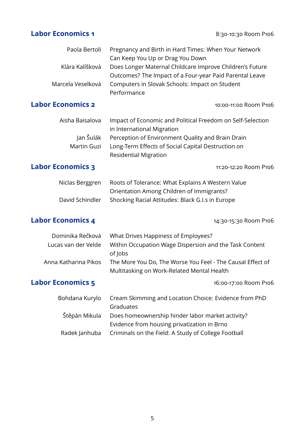**Labor Economics 1** 8:30-10:30 Room P106

| Paola Bertoli            | Pregnancy and Birth in Hard Times: When Your Network<br>Can Keep You Up or Drag You Down |
|--------------------------|------------------------------------------------------------------------------------------|
| Klára Kalíšková          | Does Longer Maternal Childcare Improve Children's Future                                 |
|                          | Outcomes? The Impact of a Four-year Paid Parental Leave                                  |
| Marcela Veselková        | Computers in Slovak Schools: Impact on Student                                           |
|                          | Performance                                                                              |
| <b>Labor Economics 2</b> | 10:00-11:00 Room P106                                                                    |
| Aisha Baisalova          | Impact of Economic and Political Freedom on Self-Selection<br>in International Migration |
| Jan Šulák                | Perception of Environment Quality and Brain Drain                                        |
| Martin Guzi              | Long-Term Effects of Social Capital Destruction on                                       |
|                          | <b>Residential Migration</b>                                                             |
| <b>Labor Economics 3</b> | 11:20-12:20 Room P106                                                                    |
| Niclas Berggren          | Roots of Tolerance: What Explains A Western Value                                        |
|                          | Orientation Among Children of Immigrants?                                                |
| David Schindler          | Shocking Racial Attitudes: Black G.I.s in Europe                                         |
|                          |                                                                                          |
| <b>Labor Economics 4</b> | 14:30-15:30 Room P106                                                                    |
| Dominika Rečková         | What Drives Happiness of Employees?                                                      |
| Lucas van der Velde      | Within Occupation Wage Dispersion and the Task Content<br>of Jobs                        |
| Anna Katharina Pikos     | The More You Do, The Worse You Feel - The Causal Effect of                               |
|                          | Multitasking on Work-Related Mental Health                                               |
| <b>Labor Economics 5</b> | 16:00-17:00 Room P106                                                                    |
| Bohdana Kurylo           | Cream Skimming and Location Choice: Evidence from PhD<br>Graduates                       |
| Štěpán Mikula            | Does homeownership hinder labor market activity?                                         |
|                          | Evidence from housing privatization in Brno                                              |
| Radek Janhuba            | Criminals on the Field: A Study of College Football                                      |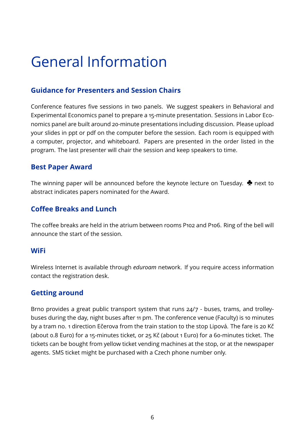# General Information

## **Guidance for Presenters and Session Chairs**

Conference features five sessions in two panels. We suggest speakers in Behavioral and Experimental Economics panel to prepare a 15-minute presentation. Sessions in Labor Economics panel are built around 20-minute presentations including discussion. Please upload your slides in ppt or pdf on the computer before the session. Each room is equipped with a computer, projector, and whiteboard. Papers are presented in the order listed in the program. The last presenter will chair the session and keep speakers to time.

## **Best Paper Award**

The winning paper will be announced before the keynote lecture on Tuesday.  $\triangleq$  next to abstract indicates papers nominated for the Award.

## **Coffee Breaks and Lunch**

The coffee breaks are held in the atrium between rooms P102 and P106. Ring of the bell will announce the start of the session.

### **WiFi**

Wireless Internet is available through *eduroam* network. If you require access information contact the registration desk.

## **Getting around**

Brno provides a great public transport system that runs 24/7 - buses, trams, and trolleybuses during the day, night buses after 11 pm. The conference venue (Faculty) is 10 minutes by a tram no. 1 direction Ečerova from the train station to the stop Lipová. The fare is 20 Kč (about 0.8 Euro) for a 15-minutes ticket, or 25 Kč (about 1 Euro) for a 60-minutes ticket. The tickets can be bought from yellow ticket vending machines at the stop, or at the newspaper agents. SMS ticket might be purchased with a Czech phone number only.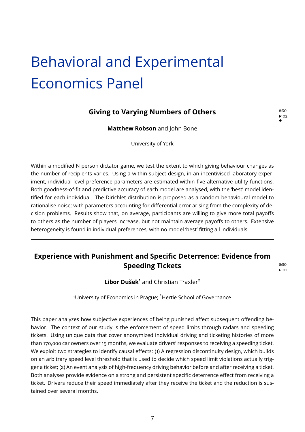# <span id="page-8-0"></span>Behavioral and Experimental Economics Panel

## **Giving to Varying Numbers of Others Bigger** 8:30

P102 ♣

**Matthew Robson** and John Bone

University of York

Within a modified N person dictator game, we test the extent to which giving behaviour changes as the number of recipients varies. Using a within-subject design, in an incentivised laboratory experiment, individual-level preference parameters are estimated within five alternative utility functions. Both goodness-of-fit and predictive accuracy of each model are analysed, with the 'best' model identified for each individual. The Dirichlet distribution is proposed as a random behavioural model to rationalise noise; with parameters accounting for differential error arising from the complexity of decision problems. Results show that, on average, participants are willing to give more total payoffs to others as the number of players increase, but not maintain average payoffs to others. Extensive heterogeneity is found in individual preferences, with no model 'best' fitting all individuals.

## **Experience with Punishment and Specific Deterrence: Evidence from Speeding Tickets** 8:30

P102

Libor Dušek<sup>1</sup> and Christian Traxler<sup>2</sup>

<sup>1</sup>University of Economics in Prague; <sup>2</sup>Hertie School of Governance

This paper analyzes how subjective experiences of being punished affect subsequent offending behavior. The context of our study is the enforcement of speed limits through radars and speeding tickets. Using unique data that cover anonymized individual driving and ticketing histories of more than 170,000 car owners over 15 months, we evaluate drivers' responses to receiving a speeding ticket. We exploit two strategies to identify causal effects: (1) A regression discontinuity design, which builds on an arbitrary speed level threshold that is used to decide which speed limit violations actually trigger a ticket; (2) An event analysis of high-frequency driving behavior before and after receiving a ticket. Both analyses provide evidence on a strong and persistent specific deterrence effect from receiving a ticket. Drivers reduce their speed immediately after they receive the ticket and the reduction is sustained over several months.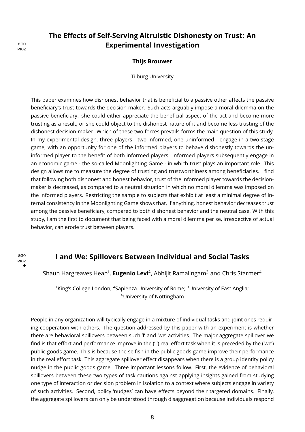## <span id="page-9-0"></span>**The Effects of Self-Serving Altruistic Dishonesty on Trust: An** 8:30 **Experimental Investigation**

#### **Thijs Brouwer**

Tilburg University

This paper examines how dishonest behavior that is beneficial to a passive other affects the passive beneficiary's trust towards the decision maker. Such acts arguably impose a moral dilemma on the passive beneficiary: she could either appreciate the beneficial aspect of the act and become more trusting as a result; or she could object to the dishonest nature of it and become less trusting of the dishonest decision-maker. Which of these two forces prevails forms the main question of this study. In my experimental design, three players - two informed, one uninformed - engage in a two-stage game, with an opportunity for one of the informed players to behave dishonestly towards the uninformed player to the benefit of both informed players. Informed players subsequently engage in an economic game - the so-called Moonlighting Game - in which trust plays an important role. This design allows me to measure the degree of trusting and trustworthiness among beneficiaries. I find that following both dishonest and honest behavior, trust of the informed player towards the decisionmaker is decreased, as compared to a neutral situation in which no moral dilemma was imposed on the informed players. Restricting the sample to subjects that exhibit at least a minimal degree of internal consistency in the Moonlighting Game shows that, if anything, honest behavior decreases trust among the passive beneficiary, compared to both dishonest behavior and the neutral case. With this study, I am the first to document that being faced with a moral dilemma per se, irrespective of actual behavior, can erode trust between players.

#### P102 ♣

### **I and We: Spillovers Between Individual and Social Tasks** 8:30

Shaun Hargreaves Heap<sup>1</sup>, **Eugenio Levi**<sup>2</sup>, Abhijit Ramalingam<sup>3</sup> and Chris Starmer<sup>4</sup>

 $^{\rm 1}$ King's College London:  $^{\rm 2}$ Sapienza University of Rome:  $^{\rm 3}$ University of East Anglia: <sup>4</sup>University of Nottingham

People in any organization will typically engage in a mixture of individual tasks and joint ones requiring cooperation with others. The question addressed by this paper with an experiment is whether there are behavioral spillovers between such 'I' and 'we' activities. The major aggregate spillover we find is that effort and performance improve in the ('I') real effort task when it is preceded by the ('we') public goods game. This is because the selfish in the public goods game improve their performance in the real effort task. This aggregate spillover effect disappears when there is a group identity policy nudge in the public goods game. Three important lessons follow. First, the evidence of behavioral spillovers between these two types of task cautions against applying insights gained from studying one type of interaction or decision problem in isolation to a context where subjects engage in variety of such activities. Second, policy 'nudges' can have effects beyond their targeted domains. Finally, the aggregate spillovers can only be understood through disaggregation because individuals respond

P102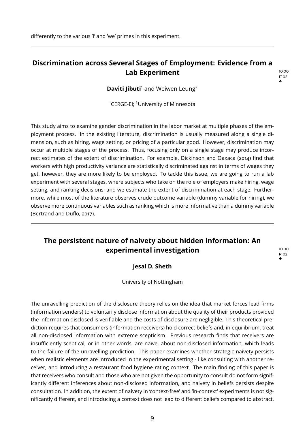<span id="page-10-0"></span>differently to the various 'I' and 'we' primes in this experiment.

### **Discrimination across Several Stages of Employment: Evidence from a Lab Experiment** 10:00

P102 ♣

**Daviti Jibuti**<sup>1</sup> and Weiwen Leung<sup>2</sup>

<sup>1</sup>CERGE-EI; <sup>2</sup>University of Minnesota

This study aims to examine gender discrimination in the labor market at multiple phases of the employment process. In the existing literature, discrimination is usually measured along a single dimension, such as hiring, wage setting, or pricing of a particular good. However, discrimination may occur at multiple stages of the process. Thus, focusing only on a single stage may produce incorrect estimates of the extent of discrimination. For example, Dickinson and Oaxaca (2014) find that workers with high productivity variance are statistically discriminated against in terms of wages they get, however, they are more likely to be employed. To tackle this issue, we are going to run a lab experiment with several stages, where subjects who take on the role of employers make hiring, wage setting, and ranking decisions, and we estimate the extent of discrimination at each stage. Furthermore, while most of the literature observes crude outcome variable (dummy variable for hiring), we observe more continuous variables such as ranking which is more informative than a dummy variable (Bertrand and Duflo, 2017).

## **The persistent nature of naivety about hidden information: An experimental investigation** 10:00

P102 ♣

#### **Jesal D. Sheth**

University of Nottingham

The unravelling prediction of the disclosure theory relies on the idea that market forces lead firms (information senders) to voluntarily disclose information about the quality of their products provided the information disclosed is verifiable and the costs of disclosure are negligible. This theoretical prediction requires that consumers (information receivers) hold correct beliefs and, in equilibrium, treat all non-disclosed information with extreme scepticism. Previous research finds that receivers are insufficiently sceptical, or in other words, are naïve, about non-disclosed information, which leads to the failure of the unravelling prediction. This paper examines whether strategic naivety persists when realistic elements are introduced in the experimental setting - like consulting with another receiver, and introducing a restaurant food hygiene rating context. The main finding of this paper is that receivers who consult and those who are not given the opportunity to consult do not form significantly different inferences about non-disclosed information, and naivety in beliefs persists despite consultation. In addition, the extent of naivety in 'context-free' and 'in-context' experiments is not significantly different, and introducing a context does not lead to different beliefs compared to abstract,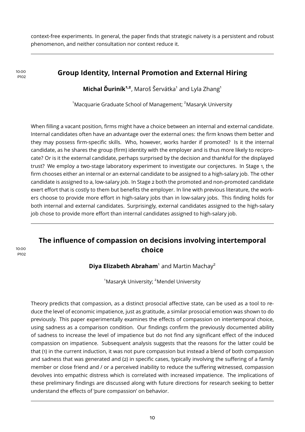<span id="page-11-0"></span>context-free experiments. In general, the paper finds that strategic naivety is a persistent and robust phenomenon, and neither consultation nor context reduce it.

## **IO:00 Group Identity, Internal Promotion and External Hiring**

**Michal Ďuriník<sup>1,2</sup>**, Maroš Šervátka<sup>1</sup> and Lyla Zhang<sup>1</sup>

 $1$ Macquarie Graduate School of Management:  $2$ Masaryk University

When filling a vacant position, firms might have a choice between an internal and external candidate. Internal candidates often have an advantage over the external ones: the firm knows them better and they may possess firm-specific skills. Who, however, works harder if promoted? Is it the internal candidate, as he shares the group (firm) identity with the employer and is thus more likely to reciprocate? Or is it the external candidate, perhaps surprised by the decision and thankful for the displayed trust? We employ a two-stage laboratory experiment to investigate our conjectures. In Stage 1, the firm chooses either an internal or an external candidate to be assigned to a high-salary job. The other candidate is assigned to a, low-salary job. In Stage 2 both the promoted and non-promoted candidate exert effort that is costly to them but benefits the employer. In line with previous literature, the workers choose to provide more effort in high-salary jobs than in low-salary jobs. This finding holds for both internal and external candidates. Surprisingly, external candidates assigned to the high-salary job chose to provide more effort than internal candidates assigned to high-salary job.

## **The influence of compassion on decisions involving intertemporal choice** 10:00

**Diva Elizabeth Abraham**<sup>1</sup> and Martin Machav<sup>2</sup>

<sup>1</sup>Masaryk University; <sup>2</sup>Mendel University

Theory predicts that compassion, as a distinct prosocial affective state, can be used as a tool to reduce the level of economic impatience, just as gratitude, a similar prosocial emotion was shown to do previously. This paper experimentally examines the effects of compassion on intertemporal choice, using sadness as a comparison condition. Our findings confirm the previously documented ability of sadness to increase the level of impatience but do not find any significant effect of the induced compassion on impatience. Subsequent analysis suggests that the reasons for the latter could be that (1) in the current induction, it was not pure compassion but instead a blend of both compassion and sadness that was generated and (2) in specific cases, typically involving the suffering of a family member or close friend and / or a perceived inability to reduce the suffering witnessed, compassion devolves into empathic distress which is correlated with increased impatience. The implications of these preliminary findings are discussed along with future directions for research seeking to better understand the effects of 'pure compassion' on behavior.

P102

P102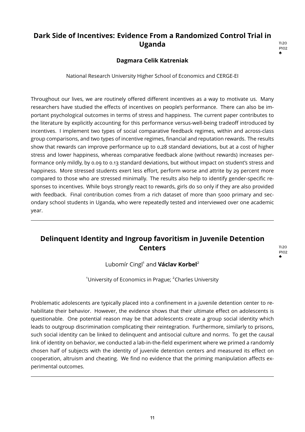## <span id="page-12-0"></span>**Dark Side of Incentives: Evidence From a Randomized Control Trial in Uganda** 11:20

#### **Dagmara Celik Katreniak**

National Research University Higher School of Economics and CERGE-EI

Throughout our lives, we are routinely offered different incentives as a way to motivate us. Many researchers have studied the effects of incentives on people's performance. There can also be important psychological outcomes in terms of stress and happiness. The current paper contributes to the literature by explicitly accounting for this performance versus-well-being tradeoff introduced by incentives. I implement two types of social comparative feedback regimes, within and across-class group comparisons, and two types of incentive regimes, financial and reputation rewards. The results show that rewards can improve performance up to 0.28 standard deviations, but at a cost of higher stress and lower happiness, whereas comparative feedback alone (without rewards) increases performance only mildly, by 0.09 to 0.13 standard deviations, but without impact on student's stress and happiness. More stressed students exert less effort, perform worse and attrite by 29 percent more compared to those who are stressed minimally. The results also help to identify gender-specific responses to incentives. While boys strongly react to rewards, girls do so only if they are also provided with feedback. Final contribution comes from a rich dataset of more than 5000 primary and secondary school students in Uganda, who were repeatedly tested and interviewed over one academic year.

## **Delinquent Identity and Ingroup favoritism in Juvenile Detention Centers** 11:20

P102 ♣

P102 ♣

### Lubomír Cingl<sup>1</sup> and **Václav Korbel**<sup>2</sup>

<sup>1</sup>University of Economics in Prague;  ${}^{2}$ Charles University

Problematic adolescents are typically placed into a confinement in a juvenile detention center to rehabilitate their behavior. However, the evidence shows that their ultimate effect on adolescents is questionable. One potential reason may be that adolescents create a group social identity which leads to outgroup discrimination complicating their reintegration. Furthermore, similarly to prisons, such social identity can be linked to delinquent and antisocial culture and norms. To get the causal link of identity on behavior, we conducted a lab-in-the-field experiment where we primed a randomly chosen half of subjects with the identity of juvenile detention centers and measured its effect on cooperation, altruism and cheating. We find no evidence that the priming manipulation affects experimental outcomes.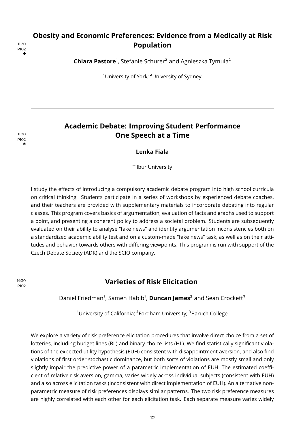## P102 ♣

## <span id="page-13-0"></span>**Obesity and Economic Preferences: Evidence from a Medically at Risk** 11:20 **Population**

Chiara Pastore<sup>1</sup>, Stefanie Schurer<sup>2</sup> and Agnieszka Tymula<sup>2</sup>

<sup>1</sup>University of York: <sup>2</sup>University of Sydney

## **Academic Debate: Improving Student Performance Dre Speech at a Time** 11:20

**Lenka Fiala**

Tilbur University

I study the effects of introducing a compulsory academic debate program into high school curricula on critical thinking. Students participate in a series of workshops by experienced debate coaches, and their teachers are provided with supplementary materials to incorporate debating into regular classes. This program covers basics of argumentation, evaluation of facts and graphs used to support a point, and presenting a coherent policy to address a societal problem. Students are subsequently evaluated on their ability to analyse "fake news" and identify argumentation inconsistencies both on a standardized academic ability test and on a custom-made "fake news" task, as well as on their attitudes and behavior towards others with differing viewpoints. This program is run with support of the Czech Debate Society (ADK) and the SCIO company.

14:30 **Varieties of Risk Elicitation**

Daniel Friedman<sup>1</sup>, Sameh Habib<sup>1</sup>, **Duncan James**<sup>2</sup> and Sean Crockett<sup>3</sup>

<sup>1</sup>University of California; <sup>2</sup>Fordham University; <sup>3</sup>Baruch College

We explore a variety of risk preference elicitation procedures that involve direct choice from a set of lotteries, including budget lines (BL) and binary choice lists (HL). We find statistically significant violations of the expected utility hypothesis (EUH) consistent with disappointment aversion, and also find violations of first order stochastic dominance, but both sorts of violations are mostly small and only slightly impair the predictive power of a parametric implementation of EUH. The estimated coefficient of relative risk aversion, gamma, varies widely across individual subjects (consistent with EUH) and also across elicitation tasks (inconsistent with direct implementation of EUH). An alternative nonparametric measure of risk preferences displays similar patterns. The two risk preference measures are highly correlated with each other for each elicitation task. Each separate measure varies widely

P102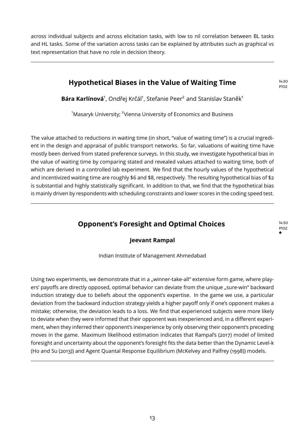<span id="page-14-0"></span>across individual subjects and across elicitation tasks, with low to nil correlation between BL tasks and HL tasks. Some of the variation across tasks can be explained by attributes such as graphical vs text representation that have no role in decision theory.

## **Hypothetical Biases in the Value of Waiting Time** 14:30

P102

P102 ♣

Bára Karlínová<sup>1</sup>, Ondřej Krčál<sup>1</sup>, Stefanie Peer<sup>2</sup> and Stanislav Staněk<sup>1</sup>

 $^{\rm 1}$ Masaryk University;  $^{\rm 2}$ Vienna University of Economics and Business

The value attached to reductions in waiting time (in short, "value of waiting time") is a crucial ingredient in the design and appraisal of public transport networks. So far, valuations of waiting time have mostly been derived from stated preference surveys. In this study, we investigate hypothetical bias in the value of waiting time by comparing stated and revealed values attached to waiting time, both of which are derived in a controlled lab experiment. We find that the hourly values of the hypothetical and incentivized waiting time are roughly \$6 and \$8, respectively. The resulting hypothetical bias of \$2 is substantial and highly statistically significant. In addition to that, we find that the hypothetical bias is mainly driven by respondents with scheduling constraints and lower scores in the coding speed test.

## **Opponent's Foresight and Optimal Choices** 14:30

#### **Jeevant Rampal**

Indian Institute of Management Ahmedabad

Using two experiments, we demonstrate that in a "winner-take-all" extensive form game, where players' payoffs are directly opposed, optimal behavior can deviate from the unique "sure-win" backward induction strategy due to beliefs about the opponent's expertise. In the game we use, a particular deviation from the backward induction strategy yields a higher payoff only if one's opponent makes a mistake; otherwise, the deviation leads to a loss. We find that experienced subjects were more likely to deviate when they were informed that their opponent was inexperienced and, in a different experiment, when they inferred their opponent's inexperience by only observing their opponent's preceding moves in the game. Maximum likelihood estimation indicates that Rampal's (2017) model of limited foresight and uncertainty about the opponent's foresight fits the data better than the Dynamic Level-k (Ho and Su (2013)) and Agent Quantal Response Equilibrium (McKelvey and Palfrey (1998)) models.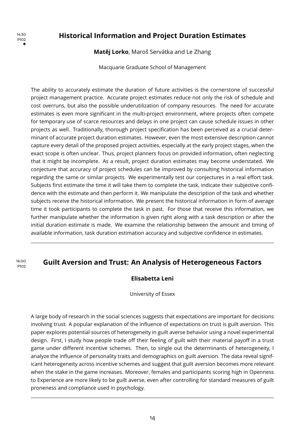### <span id="page-15-0"></span>**Historical Information and Project Duration Estimates** 14:30

**Matěj Lorko**, Maroš Servátka and Le Zhang

Macquarie Graduate School of Management

The ability to accurately estimate the duration of future activities is the cornerstone of successful project management practice. Accurate project estimates reduce not only the risk of schedule and cost overruns, but also the possible underutilization of company resources. The need for accurate estimates is even more significant in the multi-project environment, where projects often compete for temporary use of scarce resources and delays in one project can cause schedule issues in other projects as well. Traditionally, thorough project specification has been perceived as a crucial determinant of accurate project duration estimates. However, even the most extensive description cannot capture every detail of the proposed project activities, especially at the early project stages, when the exact scope is often unclear. Thus, project planners focus on provided information, often neglecting that it might be incomplete. As a result, project duration estimates may become understated. We conjecture that accuracy of project schedules can be improved by consulting historical information regarding the same or similar projects. We experimentally test our conjectures in a real effort task. Subjects first estimate the time it will take them to complete the task, indicate their subjective confidence with the estimate and then perform it. We manipulate the description of the task and whether subjects receive the historical information. We present the historical information in form of average time it took participants to complete the task in past. For those that receive this information, we further manipulate whether the information is given right along with a task description or after the initial duration estimate is made. We examine the relationship between the amount and timing of available information, task duration estimation accuracy and subjective confidence in estimates.

## **Guilt Aversion and Trust: An Analysis of Heterogeneous Factors**

#### **Elisabetta Leni**

University of Essex

A large body of research in the social sciences suggests that expectations are important for decisions involving trust. A popular explanation of the influence of expectations on trust is guilt aversion. This paper explores potential sources of heterogeneity in guilt averse behavior using a novel experimental design. First, I study how people trade off their feeling of guilt with their material payoff in a trust game under different incentive schemes. Then, to single out the determinants of heterogeneity, I analyze the influence of personality traits and demographics on guilt aversion. The data reveal significant heterogeneity across incentive schemes and suggest that guilt aversion becomes more relevant when the stake in the game increases. Moreover, females and participants scoring high in Openness to Experience are more likely to be guilt averse, even after controlling for standard measures of guilt proneness and compliance used in psychology.

P102 ♣

P102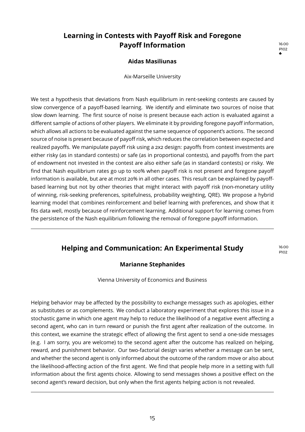## <span id="page-16-0"></span>**Learning in Contests with Payoff Risk and Foregone Payoff Information** 16:00

P102 ♣

#### **Aidas Masiliunas**

Aix-Marseille University

We test a hypothesis that deviations from Nash equilibrium in rent-seeking contests are caused by slow convergence of a payoff-based learning. We identify and eliminate two sources of noise that slow down learning. The first source of noise is present because each action is evaluated against a different sample of actions of other players. We eliminate it by providing foregone payoff information, which allows all actions to be evaluated against the same sequence of opponent's actions. The second source of noise is present because of payoff risk, which reduces the correlation between expected and realized payoffs. We manipulate payoff risk using a 2x2 design: payoffs from contest investments are either risky (as in standard contests) or safe (as in proportional contests), and payoffs from the part of endowment not invested in the contest are also either safe (as in standard contests) or risky. We find that Nash equilibrium rates go up to 100% when payoff risk is not present and foregone payoff information is available, but are at most 20% in all other cases. This result can be explained by payoffbased learning but not by other theories that might interact with payoff risk (non-monetary utility of winning, risk-seeking preferences, spitefulness, probability weighting, QRE). We propose a hybrid learning model that combines reinforcement and belief learning with preferences, and show that it fits data well, mostly because of reinforcement learning. Additional support for learning comes from the persistence of the Nash equilibrium following the removal of foregone payoff information.

## **Helping and Communication: An Experimental Study** 16:00

P102

#### **Marianne Stephanides**

Vienna University of Economics and Business

Helping behavior may be affected by the possibility to exchange messages such as apologies, either as substitutes or as complements. We conduct a laboratory experiment that explores this issue in a stochastic game in which one agent may help to reduce the likelihood of a negative event affecting a second agent, who can in turn reward or punish the first agent after realization of the outcome. In this context, we examine the strategic effect of allowing the first agent to send a one-side messages (e.g. I am sorry, you are welcome) to the second agent after the outcome has realized on helping, reward, and punishment behavior. Our two-factorial design varies whether a message can be sent, and whether the second agent is only informed about the outcome of the random move or also about the likelihood-affecting action of the first agent. We find that people help more in a setting with full information about the first agents choice. Allowing to send messages shows a positive effect on the second agent's reward decision, but only when the first agents helping action is not revealed.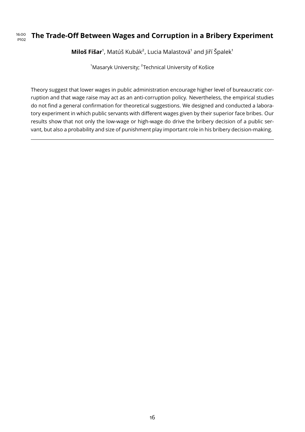## **THE Trade-Off Between Wages and Corruption in a Bribery Experiment**

Miloš Fišar<sup>1</sup>, Matúš Kubák<sup>2</sup>, Lucia Malastová<sup>1</sup> and Jiří Špalek<sup>1</sup>

 $^{\rm 1}$ Masaryk University;  $^{\rm 2}$ Technical University of Košice

Theory suggest that lower wages in public administration encourage higher level of bureaucratic corruption and that wage raise may act as an anti-corruption policy. Nevertheless, the empirical studies do not find a general confirmation for theoretical suggestions. We designed and conducted a laboratory experiment in which public servants with different wages given by their superior face bribes. Our results show that not only the low-wage or high-wage do drive the bribery decision of a public servant, but also a probability and size of punishment play important role in his bribery decision-making.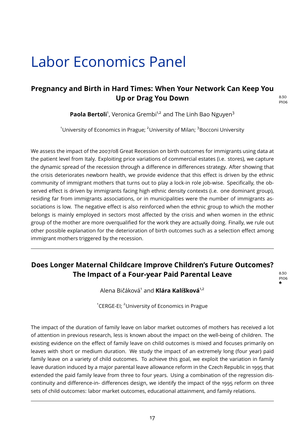# <span id="page-18-0"></span>Labor Economics Panel

## **Pregnancy and Birth in Hard Times: When Your Network Can Keep You Up or Drag You Down** 8:30

P106

**Paola Bertoli**<sup>1</sup>, Veronica Grembi<sup>1,2</sup> and The Linh Bao Nguyen<sup>3</sup>

<sup>1</sup>University of Economics in Prague; <sup>2</sup>University of Milan; <sup>3</sup>Bocconi University

We assess the impact of the 2007/08 Great Recession on birth outcomes for immigrants using data at the patient level from Italy. Exploiting price variations of commercial estates (i.e. stores), we capture the dynamic spread of the recession through a difference in differences strategy. After showing that the crisis deteriorates newborn health, we provide evidence that this effect is driven by the ethnic community of immigrant mothers that turns out to play a lock-in role job-wise. Specifically, the observed effect is driven by immigrants facing high ethnic density contexts (i.e. one dominant group), residing far from immigrants associations, or in municipalities were the number of immigrants associations is low. The negative effect is also reinforced when the ethnic group to which the mother belongs is mainly employed in sectors most affected by the crisis and when women in the ethnic group of the mother are more overqualified for the work they are actually doing. Finally, we rule out other possible explanation for the deterioration of birth outcomes such as a selection effect among immigrant mothers triggered by the recession.

## **Does Longer Maternal Childcare Improve Children's Future Outcomes? The Impact of a Four-year Paid Parental Leave** 8:30

P106 ♣

Alena Bičáková<sup>1</sup> and **Klára Kalíšková**<sup>1,2</sup>

<sup>1</sup>CERGE-EI: <sup>2</sup>University of Economics in Prague

The impact of the duration of family leave on labor market outcomes of mothers has received a lot of attention in previous research, less is known about the impact on the well-being of children. The existing evidence on the effect of family leave on child outcomes is mixed and focuses primarily on leaves with short or medium duration. We study the impact of an extremely long (four year) paid family leave on a variety of child outcomes. To achieve this goal, we exploit the variation in family leave duration induced by a major parental leave allowance reform in the Czech Republic in 1995 that extended the paid family leave from three to four years. Using a combination of the regression discontinuity and difference-in- differences design, we identify the impact of the 1995 reform on three sets of child outcomes: labor market outcomes, educational attainment, and family relations.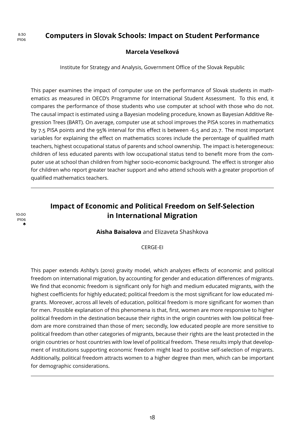### <span id="page-19-0"></span>**Computers in Slovak Schools: Impact on Student Performance** 8:30

#### **Marcela Veselková**

Institute for Strategy and Analysis, Government Office of the Slovak Republic

This paper examines the impact of computer use on the performance of Slovak students in mathematics as measured in OECD's Programme for International Student Assessment. To this end, it compares the performance of those students who use computer at school with those who do not. The causal impact is estimated using a Bayesian modeling procedure, known as Bayesian Additive Regression Trees (BART). On average, computer use at school improves the PISA scores in mathematics by 7.5 PISA points and the 95% interval for this effect is between -6.5 and 20.7. The most important variables for explaining the effect on mathematics scores include the percentage of qualified math teachers, highest occupational status of parents and school ownership. The impact is heterogeneous: children of less educated parents with low occupational status tend to benefit more from the computer use at school than children from higher socio-economic background. The effect is stronger also for children who report greater teacher support and who attend schools with a greater proportion of qualified mathematics teachers.

## **Impact of Economic and Political Freedom on Self-Selection** 10:00 **in International Migration**

#### **Aisha Baisalova** and Elizaveta Shashkova

#### CERGE-EI

This paper extends Ashby's (2010) gravity model, which analyzes effects of economic and political freedom on international migration, by accounting for gender and education differences of migrants. We find that economic freedom is significant only for high and medium educated migrants, with the highest coefficients for highly educated; political freedom is the most significant for low educated migrants. Moreover, across all levels of education, political freedom is more significant for women than for men. Possible explanation of this phenomena is that, first, women are more responsive to higher political freedom in the destination because their rights in the origin countries with low political freedom are more constrained than those of men; secondly, low educated people are more sensitive to political freedom than other categories of migrants, because their rights are the least protected in the origin countries or host countries with low level of political freedom. These results imply that development of institutions supporting economic freedom might lead to positive self-selection of migrants. Additionally, political freedom attracts women to a higher degree than men, which can be important for demographic considerations.

P106

P106 ♣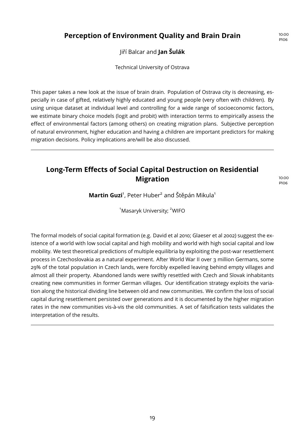## <span id="page-20-0"></span>**Perception of Environment Quality and Brain Drain** 10:00

Jiří Balcar and **Jan Šulák**

Technical University of Ostrava

This paper takes a new look at the issue of brain drain. Population of Ostrava city is decreasing, especially in case of gifted, relatively highly educated and young people (very often with children). By using unique dataset at individual level and controlling for a wide range of socioeconomic factors, we estimate binary choice models (logit and probit) with interaction terms to empirically assess the effect of environmental factors (among others) on creating migration plans. Subjective perception of natural environment, higher education and having a children are important predictors for making migration decisions. Policy implications are/will be also discussed.

## **Long-Term Effects of Social Capital Destruction on Residential Migration** 10:00

P106

P106

**Martin Guzi**<sup>1</sup>, Peter Huber<sup>2</sup> and Štěpán Mikula<sup>1</sup>

<sup>1</sup>Masaryk University; <sup>2</sup>WIFO

The formal models of social capital formation (e.g. David et al 2010; Glaeser et al 2002) suggest the existence of a world with low social capital and high mobility and world with high social capital and low mobility. We test theoretical predictions of multiple equilibria by exploiting the post-war resettlement process in Czechoslovakia as a natural experiment. After World War II over 3 million Germans, some 29% of the total population in Czech lands, were forcibly expelled leaving behind empty villages and almost all their property. Abandoned lands were swiftly resettled with Czech and Slovak inhabitants creating new communities in former German villages. Our identification strategy exploits the variation along the historical dividing line between old and new communities. We confirm the loss of social capital during resettlement persisted over generations and it is documented by the higher migration rates in the new communities vis-à-vis the old communities. A set of falsification tests validates the interpretation of the results.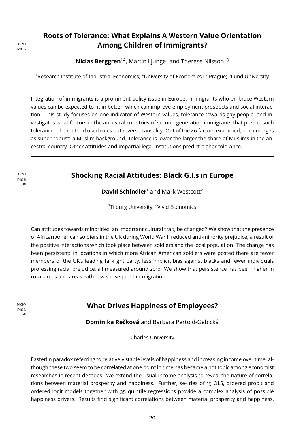## <span id="page-21-0"></span>**Roots of Tolerance: What Explains A Western Value Orientation Among Children of Immigrants?** 11:20

Niclas Berggren<sup>1,2</sup>, Martin Ljunge<sup>1</sup> and Therese Nilsson<sup>1,3</sup>

<sup>1</sup>Research Institute of Industrial Economics; <sup>2</sup>University of Economics in Prague; <sup>3</sup>Lund University

Integration of immigrants is a prominent policy issue in Europe. Immigrants who embrace Western values can be expected to fit in better, which can improve employment prospects and social interaction. This study focuses on one indicator of Western values, tolerance towards gay people, and investigates what factors in the ancestral countries of second-generation immigrants that predict such tolerance. The method used rules out reverse causality. Out of the 46 factors examined, one emerges as super-robust: a Muslim background. Tolerance is lower the larger the share of Muslims in the ancestral country. Other attitudes and impartial legal institutions predict higher tolerance.

## **IL20 Shocking Racial Attitudes: Black G.I.s in Europe**

**David Schindler**<sup>1</sup> and Mark Westcott<sup>2</sup>

<sup>1</sup>Tilburg University; <sup>2</sup>Vivid Economics

Can attitudes towards minorities, an important cultural trait, be changed? We show that the presence of African American soldiers in the UK during World War II reduced anti-minority prejudice, a result of the positive interactions which took place between soldiers and the local population. The change has been persistent: in locations in which more African American soldiers were posted there are fewer members of the UK's leading far-right party, less implicit bias against blacks and fewer individuals professing racial prejudice, all measured around 2010. We show that persistence has been higher in rural areas and areas with less subsequent in-migration.

P106 ♣

P106 ♣

## **What Drives Happiness of Employees?** 14:30

**Dominika Rečková** and Barbara Pertold-Gebická

Charles University

Easterlin paradox referring to relatively stable levels of happiness and increasing income over time, although these two seem to be correlated at one point in time has became a hot topic among economist researches in recent decades. We extend the usual income analysis to reveal the nature of correlations between material prosperity and happiness. Further, se- ries of 15 OLS, ordered probit and ordered logit models together with 35 quintile regressions provide a complex analysis of possible happiness drivers. Results find significant correlations between material prosperity and happiness,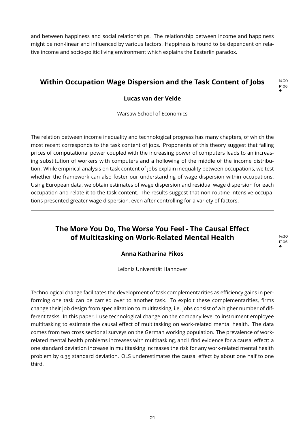<span id="page-22-0"></span>and between happiness and social relationships. The relationship between income and happiness might be non-linear and influenced by various factors. Happiness is found to be dependent on relative income and socio-politic living environment which explains the Easterlin paradox.

## **Within Occupation Wage Dispersion and the Task Content of Jobs**

#### **Lucas van der Velde**

Warsaw School of Economics

The relation between income inequality and technological progress has many chapters, of which the most recent corresponds to the task content of jobs. Proponents of this theory suggest that falling prices of computational power coupled with the increasing power of computers leads to an increasing substitution of workers with computers and a hollowing of the middle of the income distribution. While empirical analysis on task content of jobs explain inequality between occupations, we test whether the framework can also foster our understanding of wage dispersion within occupations. Using European data, we obtain estimates of wage dispersion and residual wage dispersion for each occupation and relate it to the task content. The results suggest that non-routine intensive occupations presented greater wage dispersion, even after controlling for a variety of factors.

## **The More You Do, The Worse You Feel - The Causal Effect of Multitasking on Work-Related Mental Health** 14:30

P106 ♣

P106 ♣

#### **Anna Katharina Pikos**

Leibniz Universität Hannover

Technological change facilitates the development of task complementarities as efficiency gains in performing one task can be carried over to another task. To exploit these complementarities, firms change their job design from specialization to multitasking, i.e. jobs consist of a higher number of different tasks. In this paper, I use technological change on the company level to instrument employee multitasking to estimate the causal effect of multitasking on work-related mental health. The data comes from two cross sectional surveys on the German working population. The prevalence of workrelated mental health problems increases with multitasking, and I find evidence for a causal effect: a one standard deviation increase in multitasking increases the risk for any work-related mental health problem by 0.35 standard deviation. OLS underestimates the causal effect by about one half to one third.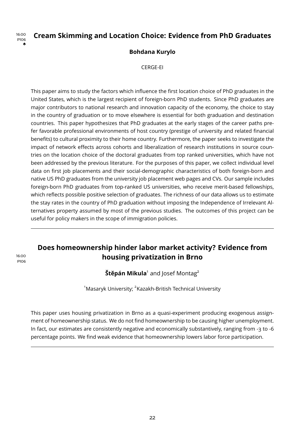

P106

## <span id="page-23-0"></span>**IGOO** Cream Skimming and Location Choice: Evidence from PhD Graduates

#### **Bohdana Kurylo**

CERGE-EI

This paper aims to study the factors which influence the first location choice of PhD graduates in the United States, which is the largest recipient of foreign-born PhD students. Since PhD graduates are major contributors to national research and innovation capacity of the economy, the choice to stay in the country of graduation or to move elsewhere is essential for both graduation and destination countries. This paper hypothesizes that PhD graduates at the early stages of the career paths prefer favorable professional environments of host country (prestige of university and related financial benefits) to cultural proximity to their home country. Furthermore, the paper seeks to investigate the impact of network effects across cohorts and liberalization of research institutions in source countries on the location choice of the doctoral graduates from top ranked universities, which have not been addressed by the previous literature. For the purposes of this paper, we collect individual level data on first job placements and their social-demographic characteristics of both foreign-born and native US PhD graduates from the university job placement web pages and CVs. Our sample includes foreign-born PhD graduates from top-ranked US universities, who receive merit-based fellowships, which reflects possible positive selection of graduates. The richness of our data allows us to estimate the stay rates in the country of PhD graduation without imposing the Independence of Irrelevant Alternatives property assumed by most of the previous studies. The outcomes of this project can be useful for policy makers in the scope of immigration policies.

## **Does homeownership hinder labor market activity? Evidence from housing privatization in Brno** 16:00

 $\mathsf{\check{St}}$ ěpán Mikula $^{\scriptscriptstyle 1}$  and Iosef Montag $^{\scriptscriptstyle 2}$ 

 $^{\rm 1}$ Masaryk University:  $^{\rm 2}$ Kazakh-British Technical University

This paper uses housing privatization in Brno as a quasi-experiment producing exogenous assignment of homeownership status. We do not find homeownership to be causing higher unemployment. In fact, our estimates are consistently negative and economically substantively, ranging from -3 to -6 percentage points. We find weak evidence that homeownership lowers labor force participation.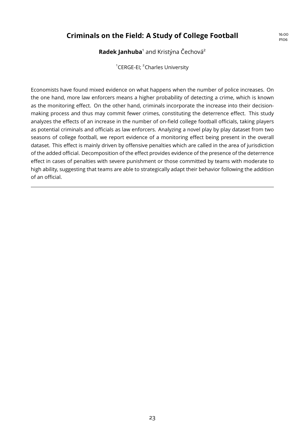## Criminals on the Field: A Study of College Football **16:00**

P106

#### Radek Janhuba<sup>1</sup> and Kristýna Čechová<sup>2</sup>

<sup>1</sup>CERGE-EI; <sup>2</sup>Charles University

Economists have found mixed evidence on what happens when the number of police increases. On the one hand, more law enforcers means a higher probability of detecting a crime, which is known as the monitoring effect. On the other hand, criminals incorporate the increase into their decisionmaking process and thus may commit fewer crimes, constituting the deterrence effect. This study analyzes the effects of an increase in the number of on-field college football officials, taking players as potential criminals and officials as law enforcers. Analyzing a novel play by play dataset from two seasons of college football, we report evidence of a monitoring effect being present in the overall dataset. This effect is mainly driven by offensive penalties which are called in the area of jurisdiction of the added official. Decomposition of the effect provides evidence of the presence of the deterrence effect in cases of penalties with severe punishment or those committed by teams with moderate to high ability, suggesting that teams are able to strategically adapt their behavior following the addition of an official.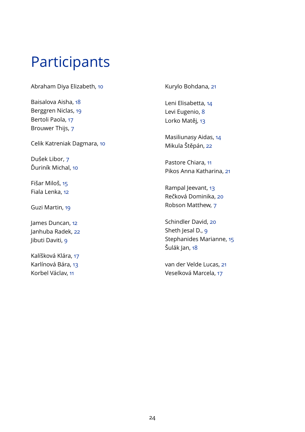# Participants

Abraham Diya Elizabeth, [10](#page-11-0)

Baisalova Aisha, [18](#page-19-0) Berggren Niclas, [19](#page-20-0) Bertoli Paola, [17](#page-18-0) Brouwer Thijs, [7](#page-8-0)

Celik Katreniak Dagmara, [10](#page-11-0)

Dušek Libor, [7](#page-8-0) Ďuriník Michal, [10](#page-11-0)

Fišar Miloš, [15](#page-16-0) Fiala Lenka, [12](#page-13-0)

Guzi Martin, [19](#page-20-0)

James Duncan, [12](#page-13-0) Janhuba Radek, [22](#page-23-0) libuti Daviti, [9](#page-10-0)

Kalíšková Klára, [17](#page-18-0) Karlínová Bára, [13](#page-14-0) Korbel Václav, [11](#page-12-0)

Kurylo Bohdana, [21](#page-22-0)

Leni Elisabetta, [14](#page-15-0) Levi Eugenio, [8](#page-9-0) Lorko Matěj, [13](#page-14-0)

Masiliunasy Aidas, [14](#page-15-0) Mikula Štěpán, [22](#page-23-0)

Pastore Chiara, [11](#page-12-0) Pikos Anna Katharina, [21](#page-22-0)

Rampal Jeevant, [13](#page-14-0) Rečková Dominika, [20](#page-21-0) Robson Matthew, [7](#page-8-0)

Schindler David, [20](#page-21-0) Sheth Jesal D., [9](#page-10-0) Stephanides Marianne, [15](#page-16-0) Šulák Jan, [18](#page-19-0)

van der Velde Lucas, [21](#page-22-0) Veselková Marcela, [17](#page-18-0)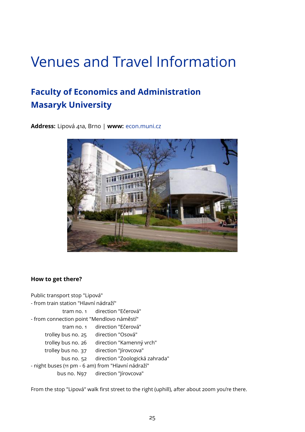# Venues and Travel Information

## **Faculty of Economics and Administration Masaryk University**

**Address:** Lipová 41a, Brno | **www:** <econ.muni.cz>



#### **How to get there?**

Public transport stop "Lipová" - from train station "Hlavní nádraží" tram no. 1 direction "Ečerová" - from connection point "Mendlovo náměstí" tram no. 1 direction "Ečerová" trolley bus no. 25 direction "Osová" trolley bus no. 26 direction "Kamenný vrch" trolley bus no. 37 direction "Jírovcova" bus no. 52 direction "Zoologická zahrada" - night buses (11 pm - 6 am) from "Hlavní nádraží" bus no. N97 direction "Jírovcova"

From the stop "Lipová" walk first street to the right (uphill), after about 200m you're there.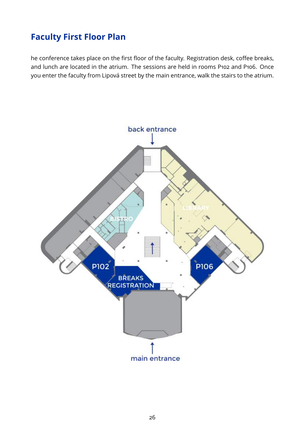## **Faculty First Floor Plan**

he conference takes place on the first floor of the faculty. Registration desk, coffee breaks, and lunch are located in the atrium. The sessions are held in rooms P102 and P106. Once you enter the faculty from Lipová street by the main entrance, walk the stairs to the atrium.

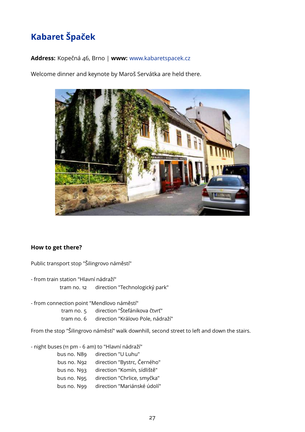## **Kabaret Špaček**

#### **Address:** Kopečná 46, Brno | **www:** <www.kabaretspacek.cz>

Welcome dinner and keynote by Maroš Servátka are held there.



#### **How to get there?**

Public transport stop "Šilingrovo náměstí"

- from train station "Hlavní nádraží"

tram no. 12 direction "Technologický park"

- from connection point "Mendlovo náměstí"

tram no. 5 direction "Štefánikova čtvrť"

tram no. 6 direction "Královo Pole, nádraží"

From the stop "Šilingrovo náměstí" walk downhill, second street to left and down the stairs.

- night buses (11 pm - 6 am) to "Hlavní nádraží"

| bus no. N89 | direction "U Luhu"          |
|-------------|-----------------------------|
| bus no. N92 | direction "Bystrc, Černého" |
| bus no. N93 | direction "Komín, sídliště" |
| bus no. N95 | direction "Chrlice, smyčka" |
| bus no. N99 | direction "Mariánské údolí" |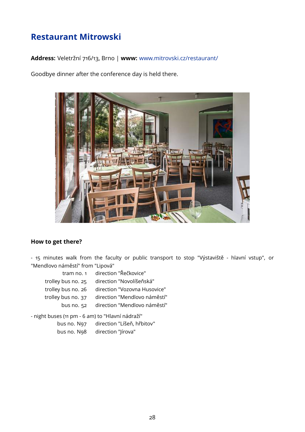## **Restaurant Mitrowski**

**Address:** Veletržní 716/13, Brno | **www:** <www.mitrovski.cz/restaurant/>

Goodbye dinner after the conference day is held there.



#### **How to get there?**

- 15 minutes walk from the faculty or public transport to stop "Výstaviště - hlavní vstup", or "Mendlovo náměstí" from "Lipová"

| tram no. 1         | direction "Řečkovice"        |
|--------------------|------------------------------|
| trolley bus no. 25 | direction "Novolíšeňská"     |
| trolley bus no. 26 | direction "Vozovna Husovice" |
| trolley bus no. 37 | direction "Mendlovo náměstí" |
| bus no. 52         | direction "Mendlovo náměstí" |
|                    |                              |

- night buses (11 pm - 6 am) to "Hlavní nádraží"

| bus no. N97 | direction "Líšeň, hřbitov" |
|-------------|----------------------------|
| bus no. N98 | direction "lírova"         |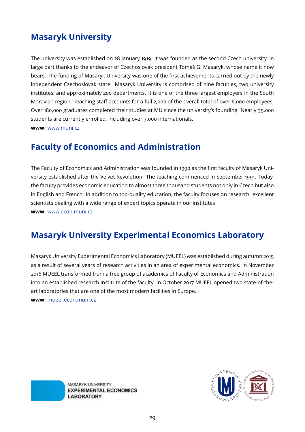## **Masaryk University**

The university was established on 28 January 1919. It was founded as the second Czech university, in large part thanks to the endeavor of Czechoslovak president Tomáš G. Masaryk, whose name it now bears. The funding of Masaryk University was one of the first achievements carried out by the newly independent Czechoslovak state. Masaryk University is comprised of nine faculties, two university institutes, and approximately 200 departments. It is one of the three largest employers in the South Moravian region. Teaching staff accounts for a full 2,000 of the overall total of over 5,000 employees. Over 180,000 graduates completed their studies at MU since the university's founding. Nearly 35,000 students are currently enrolled, including over 7,000 internationals. **www:** <www.muni.cz>

## **Faculty of Economics and Administration**

The Faculty of Economics and Administration was founded in 1990 as the first faculty of Masaryk University established after the Velvet Revolution. The teaching commenced in September 1991. Today, the faculty provides economic education to almost three thousand students not only in Czech but also in English and French. In addition to top-quality education, the faculty focuses on research: excellent scientists dealing with a wide range of expert topics operate in our institutes **www:** <www.econ.muni.cz>

## **Masaryk University Experimental Economics Laboratory**

Masaryk University Experimental Economics Laboratory (MUEEL) was established during autumn 2015 as a result of several years of research activities in an area of experimental economics. In November 2016 MUEEL transformed from a free group of academics of Faculty of Economics and Administration into an established research institute of the faculty. In October 2017 MUEEL opened two state-of-theart laboratories that are one of the most modern facilities in Europe. **www:** <mueel.econ.muni.cz>

> MASARYK UNIVERSITY **EXPERIMENTAL ECONOMICS LABORATORY**

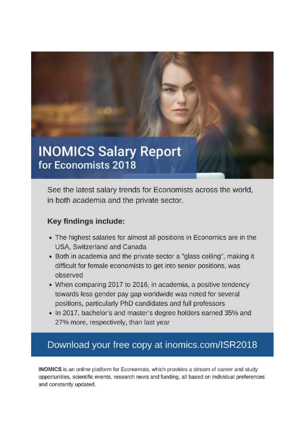

See the latest salary trends for Economists across the world, in both academia and the private sector.

## Key findings include:

- The highest salaries for almost all positions in Economics are in the USA, Switzerland and Canada
- Both in academia and the private sector a "glass ceiling", making it difficult for female economists to get into senior positions, was observed
- When comparing 2017 to 2016, in academia, a positive tendency towards less gender pay gap worldwide was noted for several positions, particularly PhD candidates and full professors
- . In 2017, bachelor's and master's degree holders earned 35% and 27% more, respectively, than last year

## Download your free copy at inomics.com/ISR2018

INOMICS is an online platform for Economists, which provides a stream of career and study opportunities, scientific events, research news and funding, all based on individual preferences and constantly updated.